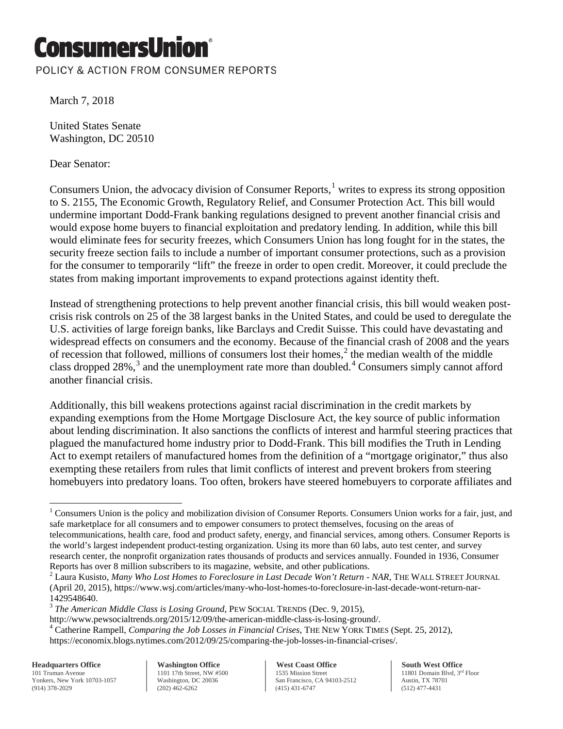## ConsumersUnio

POLICY & ACTION FROM CONSUMER REPORTS

March 7, 2018

United States Senate Washington, DC 20510

Dear Senator:

Consumers Union, the advocacy division of Consumer Reports,<sup>[1](#page-0-0)</sup> writes to express its strong opposition to S. 2155, The Economic Growth, Regulatory Relief, and Consumer Protection Act. This bill would undermine important Dodd-Frank banking regulations designed to prevent another financial crisis and would expose home buyers to financial exploitation and predatory lending. In addition, while this bill would eliminate fees for security freezes, which Consumers Union has long fought for in the states, the security freeze section fails to include a number of important consumer protections, such as a provision for the consumer to temporarily "lift" the freeze in order to open credit. Moreover, it could preclude the states from making important improvements to expand protections against identity theft.

Instead of strengthening protections to help prevent another financial crisis, this bill would weaken postcrisis risk controls on 25 of the 38 largest banks in the United States, and could be used to deregulate the U.S. activities of large foreign banks, like Barclays and Credit Suisse. This could have devastating and widespread effects on consumers and the economy. Because of the financial crash of 2008 and the years of recession that followed, millions of consumers lost their homes,<sup>[2](#page-0-1)</sup> the median wealth of the middle class dropped  $28\%$ ,<sup>[3](#page-0-2)</sup> and the unemployment rate more than doubled.<sup>[4](#page-0-3)</sup> Consumers simply cannot afford another financial crisis.

Additionally, this bill weakens protections against racial discrimination in the credit markets by expanding exemptions from the Home Mortgage Disclosure Act, the key source of public information about lending discrimination. It also sanctions the conflicts of interest and harmful steering practices that plagued the manufactured home industry prior to Dodd-Frank. This bill modifies the Truth in Lending Act to exempt retailers of manufactured homes from the definition of a "mortgage originator," thus also exempting these retailers from rules that limit conflicts of interest and prevent brokers from steering homebuyers into predatory loans. Too often, brokers have steered homebuyers to corporate affiliates and

<span id="page-0-3"></span>**Headquarters Office** 101 Truman Avenue Yonkers, New York 10703-1057 (914) 378-2029

**Washington Office** 1101 17th Street, NW #500 Washington, DC 20036 (202) 462-6262

**West Coast Office** 1535 Mission Street San Francisco, CA 94103-2512 (415) 431-6747

**South West Office** 11801 Domain Blvd, 3rd Floor Austin, TX 78701 (512) 477-4431

<span id="page-0-0"></span><sup>&</sup>lt;sup>1</sup> Consumers Union is the policy and mobilization division of Consumer Reports. Consumers Union works for a fair, just, and safe marketplace for all consumers and to empower consumers to protect themselves, focusing on the areas of telecommunications, health care, food and product safety, energy, and financial services, among others. Consumer Reports is the world's largest independent product-testing organization. Using its more than 60 labs, auto test center, and survey research center, the nonprofit organization rates thousands of products and services annually. Founded in 1936, Consumer Reports has over 8 million subscribers to its magazine, website, and other publications.  $\overline{\phantom{a}}$ 

<span id="page-0-1"></span><sup>2</sup> Laura Kusisto, *Many Who Lost Homes to Foreclosure in Last Decade Won't Return - NAR*, THE WALL STREET JOURNAL (April 20, 2015), https://www.wsj.com/articles/many-who-lost-homes-to-foreclosure-in-last-decade-wont-return-nar-1429548640.

<span id="page-0-2"></span><sup>3</sup> *The American Middle Class is Losing Ground*, PEW SOCIAL TRENDS (Dec. 9, 2015),

http://www.pewsocialtrends.org/2015/12/09/the-american-middle-class-is-losing-ground/. <sup>4</sup> Catherine Rampell, *Comparing the Job Losses in Financial Crises*, THE NEW YORK TIMES (Sept. 25, 2012),

https://economix.blogs.nytimes.com/2012/09/25/comparing-the-job-losses-in-financial-crises/.